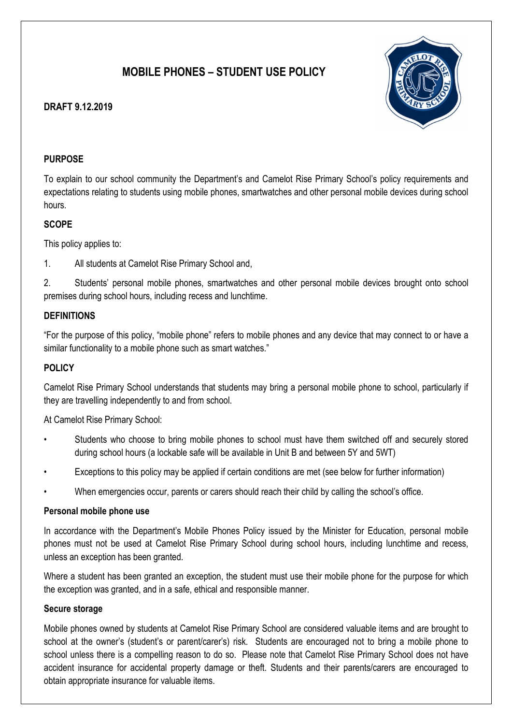# MOBILE PHONES – STUDENT USE POLICY

# DRAFT 9.12.2019



# PURPOSE

To explain to our school community the Department's and Camelot Rise Primary School's policy requirements and expectations relating to students using mobile phones, smartwatches and other personal mobile devices during school hours.

## **SCOPE**

This policy applies to:

1. All students at Camelot Rise Primary School and,

2. Students' personal mobile phones, smartwatches and other personal mobile devices brought onto school premises during school hours, including recess and lunchtime.

## **DEFINITIONS**

"For the purpose of this policy, "mobile phone" refers to mobile phones and any device that may connect to or have a similar functionality to a mobile phone such as smart watches."

# POLICY

Camelot Rise Primary School understands that students may bring a personal mobile phone to school, particularly if they are travelling independently to and from school.

At Camelot Rise Primary School:

- Students who choose to bring mobile phones to school must have them switched off and securely stored during school hours (a lockable safe will be available in Unit B and between 5Y and 5WT)
- Exceptions to this policy may be applied if certain conditions are met (see below for further information)
- When emergencies occur, parents or carers should reach their child by calling the school's office.

#### Personal mobile phone use

In accordance with the Department's Mobile Phones Policy issued by the Minister for Education, personal mobile phones must not be used at Camelot Rise Primary School during school hours, including lunchtime and recess, unless an exception has been granted.

Where a student has been granted an exception, the student must use their mobile phone for the purpose for which the exception was granted, and in a safe, ethical and responsible manner.

#### Secure storage

Mobile phones owned by students at Camelot Rise Primary School are considered valuable items and are brought to school at the owner's (student's or parent/carer's) risk. Students are encouraged not to bring a mobile phone to school unless there is a compelling reason to do so. Please note that Camelot Rise Primary School does not have accident insurance for accidental property damage or theft. Students and their parents/carers are encouraged to obtain appropriate insurance for valuable items.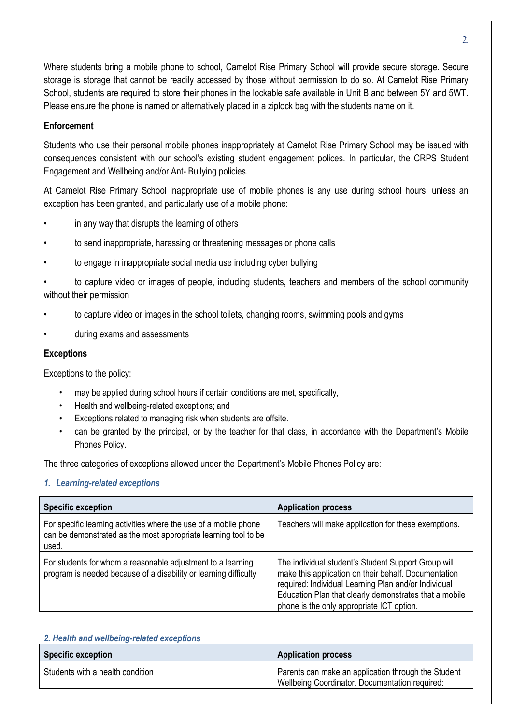Where students bring a mobile phone to school, Camelot Rise Primary School will provide secure storage. Secure storage is storage that cannot be readily accessed by those without permission to do so. At Camelot Rise Primary School, students are required to store their phones in the lockable safe available in Unit B and between 5Y and 5WT. Please ensure the phone is named or alternatively placed in a ziplock bag with the students name on it.

## **Enforcement**

Students who use their personal mobile phones inappropriately at Camelot Rise Primary School may be issued with consequences consistent with our school's existing student engagement polices. In particular, the CRPS Student Engagement and Wellbeing and/or Ant- Bullying policies.

At Camelot Rise Primary School inappropriate use of mobile phones is any use during school hours, unless an exception has been granted, and particularly use of a mobile phone:

- in any way that disrupts the learning of others
- to send inappropriate, harassing or threatening messages or phone calls
- to engage in inappropriate social media use including cyber bullying

• to capture video or images of people, including students, teachers and members of the school community without their permission

- to capture video or images in the school toilets, changing rooms, swimming pools and gyms
- during exams and assessments

#### Exceptions

Exceptions to the policy:

- may be applied during school hours if certain conditions are met, specifically,
- Health and wellbeing-related exceptions; and
- Exceptions related to managing risk when students are offsite.
- can be granted by the principal, or by the teacher for that class, in accordance with the Department's Mobile Phones Policy.

The three categories of exceptions allowed under the Department's Mobile Phones Policy are:

#### 1. Learning-related exceptions

| <b>Specific exception</b>                                                                                                                    | <b>Application process</b>                                                                                                                                                                                                                                                 |
|----------------------------------------------------------------------------------------------------------------------------------------------|----------------------------------------------------------------------------------------------------------------------------------------------------------------------------------------------------------------------------------------------------------------------------|
| For specific learning activities where the use of a mobile phone<br>can be demonstrated as the most appropriate learning tool to be<br>used. | Teachers will make application for these exemptions.                                                                                                                                                                                                                       |
| For students for whom a reasonable adjustment to a learning<br>program is needed because of a disability or learning difficulty              | The individual student's Student Support Group will<br>make this application on their behalf. Documentation<br>required: Individual Learning Plan and/or Individual<br>Education Plan that clearly demonstrates that a mobile<br>phone is the only appropriate ICT option. |

#### 2. Health and wellbeing-related exceptions

| <b>Specific exception</b>        | <b>Application process</b>                                                                            |
|----------------------------------|-------------------------------------------------------------------------------------------------------|
| Students with a health condition | Parents can make an application through the Student<br>Wellbeing Coordinator. Documentation required: |